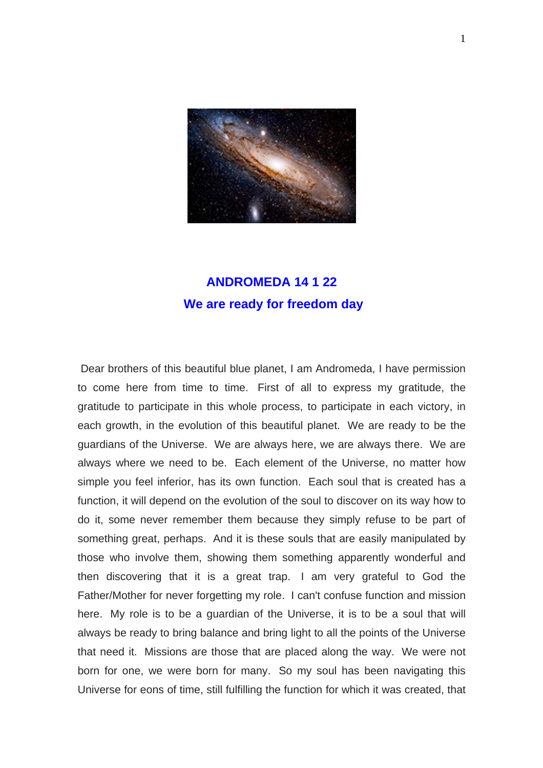

## **ANDROMEDA 14 1 22 We are ready for freedom day**

 Dear brothers of this beautiful blue planet, I am Andromeda, I have permission to come here from time to time. First of all to express my gratitude, the gratitude to participate in this whole process, to participate in each victory, in each growth, in the evolution of this beautiful planet. We are ready to be the guardians of the Universe. We are always here, we are always there. We are always where we need to be. Each element of the Universe, no matter how simple you feel inferior, has its own function. Each soul that is created has a function, it will depend on the evolution of the soul to discover on its way how to do it, some never remember them because they simply refuse to be part of something great, perhaps. And it is these souls that are easily manipulated by those who involve them, showing them something apparently wonderful and then discovering that it is a great trap. I am very grateful to God the Father/Mother for never forgetting my role. I can't confuse function and mission here. My role is to be a guardian of the Universe, it is to be a soul that will always be ready to bring balance and bring light to all the points of the Universe that need it. Missions are those that are placed along the way. We were not born for one, we were born for many. So my soul has been navigating this Universe for eons of time, still fulfilling the function for which it was created, that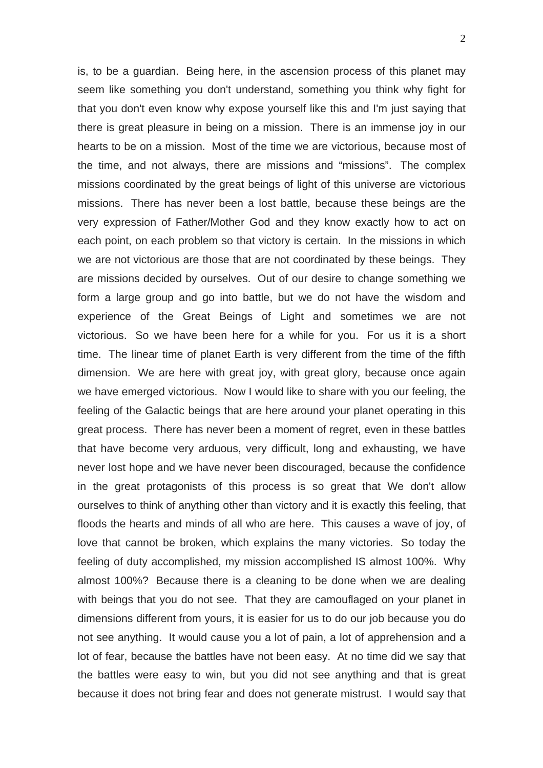is, to be a guardian. Being here, in the ascension process of this planet may seem like something you don't understand, something you think why fight for that you don't even know why expose yourself like this and I'm just saying that there is great pleasure in being on a mission. There is an immense joy in our hearts to be on a mission. Most of the time we are victorious, because most of the time, and not always, there are missions and "missions". The complex missions coordinated by the great beings of light of this universe are victorious missions. There has never been a lost battle, because these beings are the very expression of Father/Mother God and they know exactly how to act on each point, on each problem so that victory is certain. In the missions in which we are not victorious are those that are not coordinated by these beings. They are missions decided by ourselves. Out of our desire to change something we form a large group and go into battle, but we do not have the wisdom and experience of the Great Beings of Light and sometimes we are not victorious. So we have been here for a while for you. For us it is a short time. The linear time of planet Earth is very different from the time of the fifth dimension. We are here with great joy, with great glory, because once again we have emerged victorious. Now I would like to share with you our feeling, the feeling of the Galactic beings that are here around your planet operating in this great process. There has never been a moment of regret, even in these battles that have become very arduous, very difficult, long and exhausting, we have never lost hope and we have never been discouraged, because the confidence in the great protagonists of this process is so great that We don't allow ourselves to think of anything other than victory and it is exactly this feeling, that floods the hearts and minds of all who are here. This causes a wave of joy, of love that cannot be broken, which explains the many victories. So today the feeling of duty accomplished, my mission accomplished IS almost 100%. Why almost 100%? Because there is a cleaning to be done when we are dealing with beings that you do not see. That they are camouflaged on your planet in dimensions different from yours, it is easier for us to do our job because you do not see anything. It would cause you a lot of pain, a lot of apprehension and a lot of fear, because the battles have not been easy. At no time did we say that the battles were easy to win, but you did not see anything and that is great because it does not bring fear and does not generate mistrust. I would say that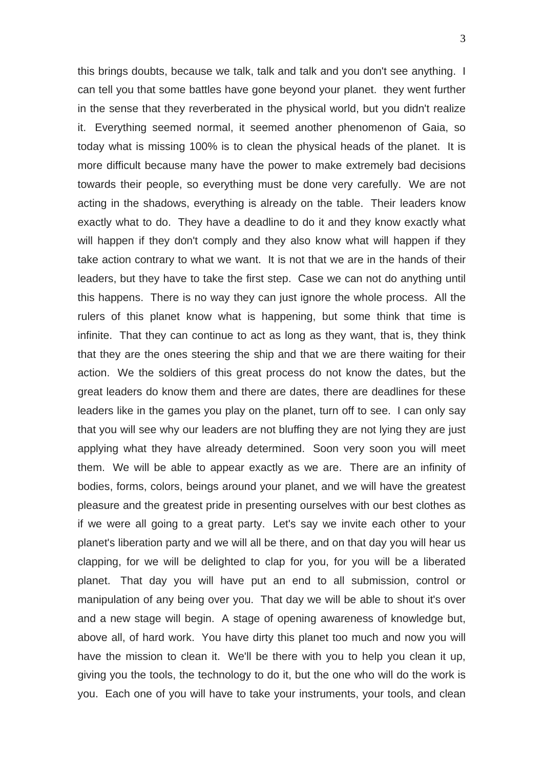this brings doubts, because we talk, talk and talk and you don't see anything. I can tell you that some battles have gone beyond your planet. they went further in the sense that they reverberated in the physical world, but you didn't realize it. Everything seemed normal, it seemed another phenomenon of Gaia, so today what is missing 100% is to clean the physical heads of the planet. It is more difficult because many have the power to make extremely bad decisions towards their people, so everything must be done very carefully. We are not acting in the shadows, everything is already on the table. Their leaders know exactly what to do. They have a deadline to do it and they know exactly what will happen if they don't comply and they also know what will happen if they take action contrary to what we want. It is not that we are in the hands of their leaders, but they have to take the first step. Case we can not do anything until this happens. There is no way they can just ignore the whole process. All the rulers of this planet know what is happening, but some think that time is infinite. That they can continue to act as long as they want, that is, they think that they are the ones steering the ship and that we are there waiting for their action. We the soldiers of this great process do not know the dates, but the great leaders do know them and there are dates, there are deadlines for these leaders like in the games you play on the planet, turn off to see. I can only say that you will see why our leaders are not bluffing they are not lying they are just applying what they have already determined. Soon very soon you will meet them. We will be able to appear exactly as we are. There are an infinity of bodies, forms, colors, beings around your planet, and we will have the greatest pleasure and the greatest pride in presenting ourselves with our best clothes as if we were all going to a great party. Let's say we invite each other to your planet's liberation party and we will all be there, and on that day you will hear us clapping, for we will be delighted to clap for you, for you will be a liberated planet. That day you will have put an end to all submission, control or manipulation of any being over you. That day we will be able to shout it's over and a new stage will begin. A stage of opening awareness of knowledge but, above all, of hard work. You have dirty this planet too much and now you will have the mission to clean it. We'll be there with you to help you clean it up, giving you the tools, the technology to do it, but the one who will do the work is you. Each one of you will have to take your instruments, your tools, and clean